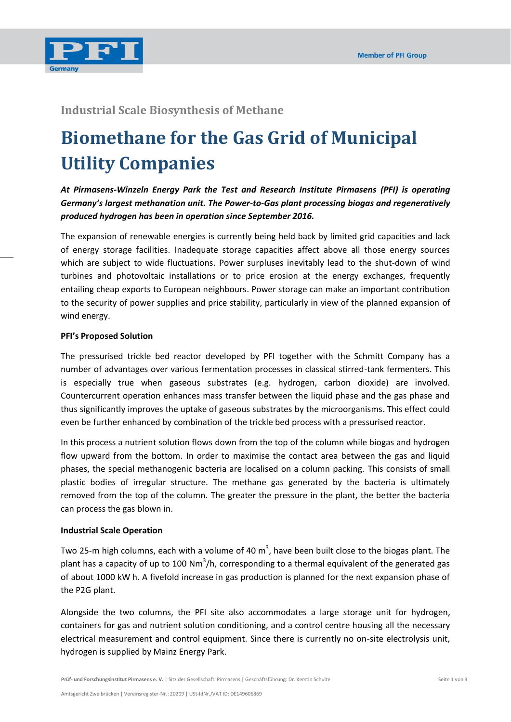

## **Industrial Scale Biosynthesis of Methane**

# **Biomethane for the Gas Grid of Municipal Utility Companies**

*At Pirmasens-Winzeln Energy Park the Test and Research Institute Pirmasens (PFI) is operating Germany's largest methanation unit. The Power-to-Gas plant processing biogas and regeneratively produced hydrogen has been in operation since September 2016.*

The expansion of renewable energies is currently being held back by limited grid capacities and lack of energy storage facilities. Inadequate storage capacities affect above all those energy sources which are subject to wide fluctuations. Power surpluses inevitably lead to the shut-down of wind turbines and photovoltaic installations or to price erosion at the energy exchanges, frequently entailing cheap exports to European neighbours. Power storage can make an important contribution to the security of power supplies and price stability, particularly in view of the planned expansion of wind energy.

#### **PFI's Proposed Solution**

The pressurised trickle bed reactor developed by PFI together with the Schmitt Company has a number of advantages over various fermentation processes in classical stirred-tank fermenters. This is especially true when gaseous substrates (e.g. hydrogen, carbon dioxide) are involved. Countercurrent operation enhances mass transfer between the liquid phase and the gas phase and thus significantly improves the uptake of gaseous substrates by the microorganisms. This effect could even be further enhanced by combination of the trickle bed process with a pressurised reactor.

In this process a nutrient solution flows down from the top of the column while biogas and hydrogen flow upward from the bottom. In order to maximise the contact area between the gas and liquid phases, the special methanogenic bacteria are localised on a column packing. This consists of small plastic bodies of irregular structure. The methane gas generated by the bacteria is ultimately removed from the top of the column. The greater the pressure in the plant, the better the bacteria can process the gas blown in.

#### **Industrial Scale Operation**

Two 25-m high columns, each with a volume of 40 m<sup>3</sup>, have been built close to the biogas plant. The plant has a capacity of up to 100 Nm<sup>3</sup>/h, corresponding to a thermal equivalent of the generated gas of about 1000 kW h. A fivefold increase in gas production is planned for the next expansion phase of the P2G plant.

Alongside the two columns, the PFI site also accommodates a large storage unit for hydrogen, containers for gas and nutrient solution conditioning, and a control centre housing all the necessary electrical measurement and control equipment. Since there is currently no on-site electrolysis unit, hydrogen is supplied by Mainz Energy Park.

**Prüf- und Forschungsinstitut Pirmasens e. V.** | Sitz der Gesellschaft: Pirmasens | Geschäftsführung: Dr. Kerstin Schulte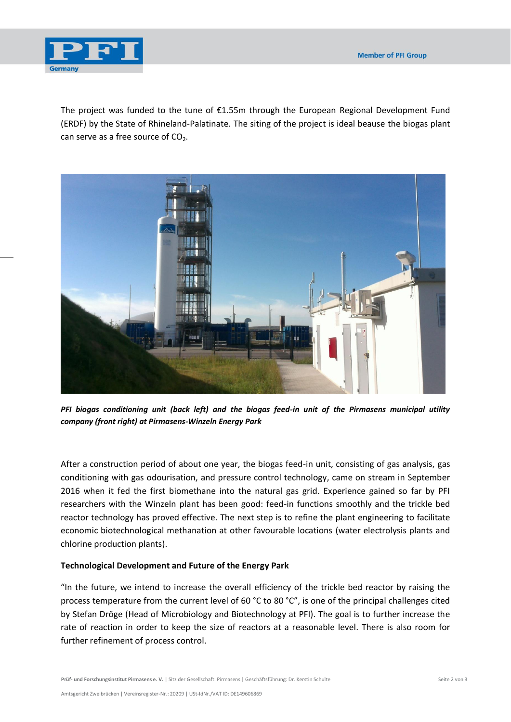

The project was funded to the tune of  $E1.55m$  through the European Regional Development Fund (ERDF) by the State of Rhineland-Palatinate. The siting of the project is ideal beause the biogas plant can serve as a free source of  $CO<sub>2</sub>$ .



*PFI biogas conditioning unit (back left) and the biogas feed-in unit of the Pirmasens municipal utility company (front right) at Pirmasens-Winzeln Energy Park*

After a construction period of about one year, the biogas feed-in unit, consisting of gas analysis, gas conditioning with gas odourisation, and pressure control technology, came on stream in September 2016 when it fed the first biomethane into the natural gas grid. Experience gained so far by PFI researchers with the Winzeln plant has been good: feed-in functions smoothly and the trickle bed reactor technology has proved effective. The next step is to refine the plant engineering to facilitate economic biotechnological methanation at other favourable locations (water electrolysis plants and chlorine production plants).

### **Technological Development and Future of the Energy Park**

"In the future, we intend to increase the overall efficiency of the trickle bed reactor by raising the process temperature from the current level of 60 °C to 80 °C", is one of the principal challenges cited by Stefan Dröge (Head of Microbiology and Biotechnology at PFI). The goal is to further increase the rate of reaction in order to keep the size of reactors at a reasonable level. There is also room for further refinement of process control.